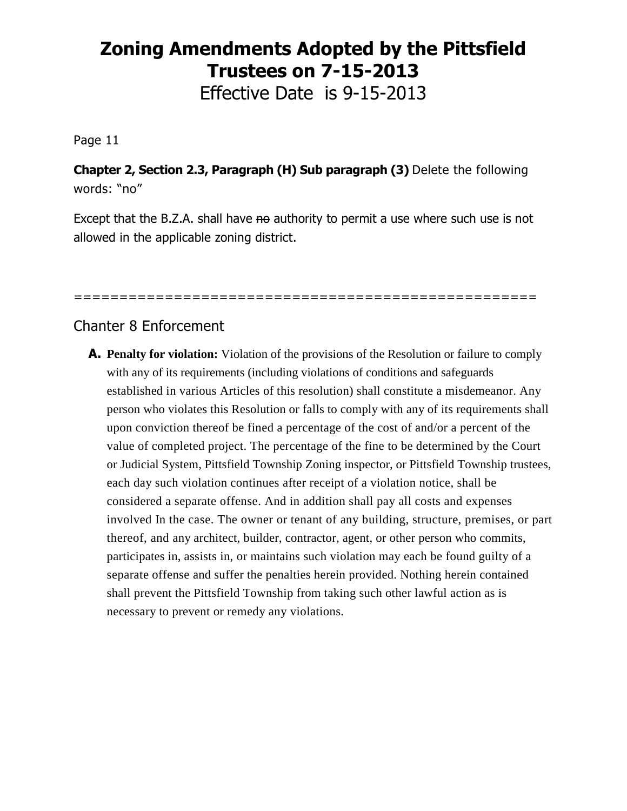## **Zoning Amendments Adopted by the Pittsfield Trustees on 7-15-2013**

Effective Date is 9-15-2013

Page 11

**Chapter 2, Section 2.3, Paragraph (H) Sub paragraph (3)** Delete the following words: "no"

Except that the B.Z.A. shall have no authority to permit a use where such use is not allowed in the applicable zoning district.

===================================================

## Chanter 8 Enforcement

**A. Penalty for violation:** Violation of the provisions of the Resolution or failure to comply with any of its requirements (including violations of conditions and safeguards established in various Articles of this resolution) shall constitute a misdemeanor. Any person who violates this Resolution or falls to comply with any of its requirements shall upon conviction thereof be fined a percentage of the cost of and/or a percent of the value of completed project. The percentage of the fine to be determined by the Court or Judicial System, Pittsfield Township Zoning inspector, or Pittsfield Township trustees, each day such violation continues after receipt of a violation notice, shall be considered a separate offense. And in addition shall pay all costs and expenses involved In the case. The owner or tenant of any building, structure, premises, or part thereof, and any architect, builder, contractor, agent, or other person who commits, participates in, assists in, or maintains such violation may each be found guilty of a separate offense and suffer the penalties herein provided. Nothing herein contained shall prevent the Pittsfield Township from taking such other lawful action as is necessary to prevent or remedy any violations.